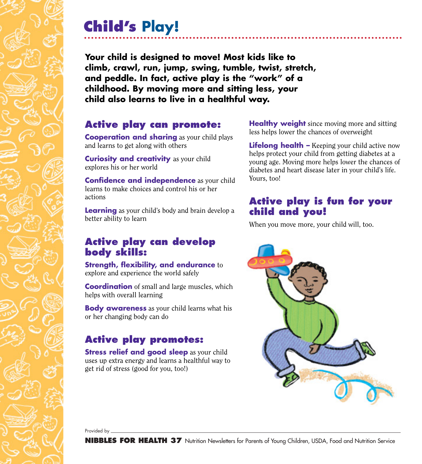# **Child's Play!**

**Your child is designed to move! Most kids like to climb, crawl, run, jump, swing, tumble, twist, stretch, and peddle. In fact, active play is the "work" of a childhood. By moving more and sitting less, your child also learns to live in a healthful way.**

### **Active play can promote:**

**Cooperation and sharing** as your child plays and learns to get along with others

**Curiosity and creativity** as your child explores his or her world

**Confidence and independence** as your child learns to make choices and control his or her actions

**Learning** as your child's body and brain develop a better ability to learn

### **Active play can develop body skills:**

**Strength, flexibility, and endurance** to explore and experience the world safely

**Coordination** of small and large muscles, which helps with overall learning

**Body awareness** as your child learns what his or her changing body can do

## **Active play promotes:**

**Stress relief and good sleep** as your child uses up extra energy and learns a healthful way to get rid of stress (good for you, too!)

**Healthy weight** since moving more and sitting less helps lower the chances of overweight

**Lifelong health –** Keeping your child active now helps protect your child from getting diabetes at a young age. Moving more helps lower the chances of diabetes and heart disease later in your child's life. Yours, too!

### **Active play is fun for your child and you!**

When you move more, your child will, too.